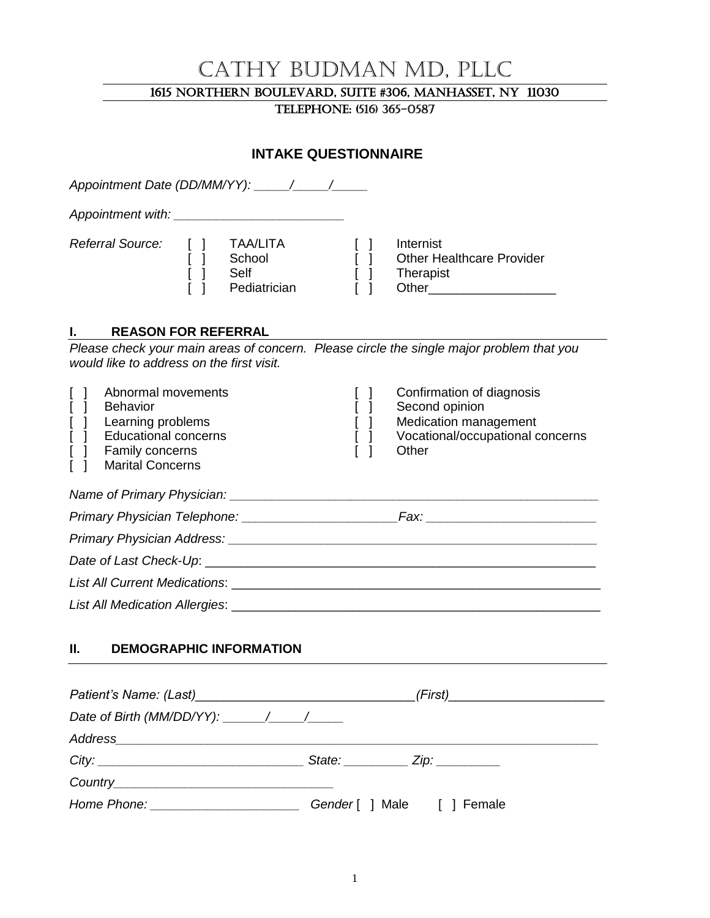# Cathy Budman MD, PLLC

#### 1615 Northern Boulevard, Suite #306, Manhasset, NY 11030

Telephone: (516) 365-0587

# **INTAKE QUESTIONNAIRE** *Appointment Date (DD/MM/YY): \_\_\_\_\_/\_\_\_\_\_/\_\_\_\_\_ Appointment with: \_\_\_\_\_\_\_\_\_\_\_\_\_\_\_\_\_\_\_\_\_\_\_\_ Referral Source:* [ ] TAA/LITA [ ] Internist [ ] School [ ] Other Healthcare Provider [ ] Self [ ] Therapist [ ] Pediatrician [ ] Other\_\_\_\_\_\_\_\_\_\_\_\_\_\_\_\_\_\_ **I. REASON FOR REFERRAL** *Please check your main areas of concern. Please circle the single major problem that you would like to address on the first visit.* [ ] Abnormal movements [ ] Confirmation of diagnosis [ ] Behavior [ ] Second opinion [ ] Learning problems [ ] Medication management [ ] Educational concerns [ ] Vocational/occupational concerns [ ] Family concerns [ ] Other [ ] Marital Concerns *Name of Primary Physician: \_\_\_\_\_\_\_\_\_\_\_\_\_\_\_\_\_\_\_\_\_\_\_\_\_\_\_\_\_\_\_\_\_\_\_\_\_\_\_\_\_\_\_\_\_\_\_\_\_\_\_\_ Primary Physician Telephone: \_\_\_\_\_\_\_\_\_\_\_\_\_\_\_\_\_\_\_\_\_\_Fax: \_\_\_\_\_\_\_\_\_\_\_\_\_\_\_\_\_\_\_\_\_\_\_\_ Primary Physician Address: \_\_\_\_\_\_\_\_\_\_\_\_\_\_\_\_\_\_\_\_\_\_\_\_\_\_\_\_\_\_\_\_\_\_\_\_\_\_\_\_\_\_\_\_\_\_\_\_\_\_\_\_ Date of Last Check-Up*: \_\_\_\_\_\_\_\_\_\_\_\_\_\_\_\_\_\_\_\_\_\_\_\_\_\_\_\_\_\_\_\_\_\_\_\_\_\_\_\_\_\_\_\_\_\_\_\_\_\_\_\_\_\_\_ *List All Current Medications*: \_\_\_\_\_\_\_\_\_\_\_\_\_\_\_\_\_\_\_\_\_\_\_\_\_\_\_\_\_\_\_\_\_\_\_\_\_\_\_\_\_\_\_\_\_\_\_\_\_\_\_\_ *List All Medication Allergies*: \_\_\_\_\_\_\_\_\_\_\_\_\_\_\_\_\_\_\_\_\_\_\_\_\_\_\_\_\_\_\_\_\_\_\_\_\_\_\_\_\_\_\_\_\_\_\_\_\_\_\_\_

#### **II. DEMOGRAPHIC INFORMATION**

|                                                                                                                                                                                                                                | (First)___________________________ |
|--------------------------------------------------------------------------------------------------------------------------------------------------------------------------------------------------------------------------------|------------------------------------|
| Date of Birth (MM/DD/YY): $\frac{1}{\sqrt{1-\frac{1}{2}}}\$                                                                                                                                                                    |                                    |
|                                                                                                                                                                                                                                |                                    |
| City:                                                                                                                                                                                                                          | State: $\angle$ Zip: $\angle$      |
|                                                                                                                                                                                                                                |                                    |
| Home Phone: The Contract of the Contract of the Contract of the Contract of the Contract of the Contract of the Contract of the Contract of the Contract of the Contract of the Contract of the Contract of the Contract of th | Gender [ ] Male [ ] Female         |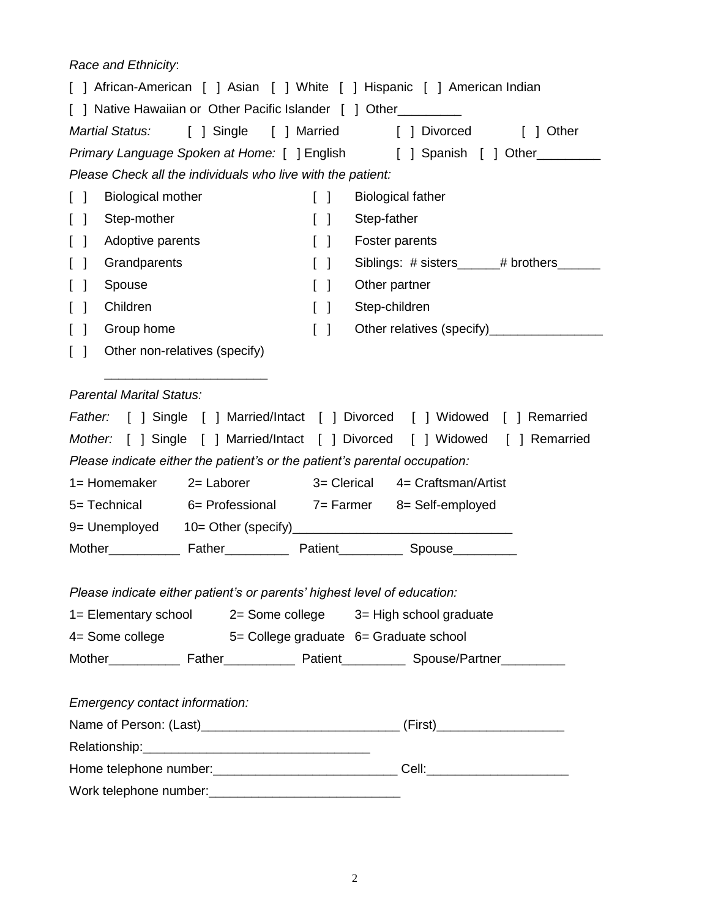*Race and Ethnicity*:

| [ ] African-American [ ] Asian [ ] White [ ] Hispanic [ ] American Indian         |                                   |                                                                                     |
|-----------------------------------------------------------------------------------|-----------------------------------|-------------------------------------------------------------------------------------|
| [ ] Native Hawaiian or Other Pacific Islander [ ] Other_________                  |                                   |                                                                                     |
| Martial Status:<br>[ ] Single [ ] Married                                         |                                   | [ ] Divorced<br>[ ] Other                                                           |
|                                                                                   |                                   | Primary Language Spoken at Home: [ ] English [ ] Spanish [ ] Other                  |
| Please Check all the individuals who live with the patient:                       |                                   |                                                                                     |
| <b>Biological mother</b><br>$\begin{bmatrix} 1 \end{bmatrix}$                     | $\begin{bmatrix} 1 \end{bmatrix}$ | <b>Biological father</b>                                                            |
| Step-mother<br>$\begin{bmatrix} 1 \end{bmatrix}$                                  | $\Box$                            | Step-father                                                                         |
| Adoptive parents<br>$\lceil$ 1                                                    | $\begin{bmatrix} 1 \end{bmatrix}$ | Foster parents                                                                      |
| Grandparents<br>$\perp$                                                           | $\begin{bmatrix} 1 \end{bmatrix}$ | Siblings: # sisters______# brothers____                                             |
| Spouse<br>$\Box$                                                                  | $\begin{bmatrix} 1 \end{bmatrix}$ | Other partner                                                                       |
| Children<br>$\Box$                                                                | $\begin{bmatrix} \end{bmatrix}$   | Step-children                                                                       |
| Group home<br>$\Box$                                                              | $\begin{bmatrix} 1 \end{bmatrix}$ |                                                                                     |
| Other non-relatives (specify)<br>$\Box$                                           |                                   |                                                                                     |
|                                                                                   |                                   |                                                                                     |
| <b>Parental Marital Status:</b>                                                   |                                   |                                                                                     |
|                                                                                   |                                   | <i>Father:</i> [ ] Single [ ] Married/Intact [ ] Divorced [ ] Widowed [ ] Remarried |
|                                                                                   |                                   | Mother: [ ] Single [ ] Married/Intact [ ] Divorced [ ] Widowed [ ] Remarried        |
| Please indicate either the patient's or the patient's parental occupation:        |                                   |                                                                                     |
| 2= Laborer<br>1= Homemaker                                                        |                                   | 3= Clerical 4= Craftsman/Artist                                                     |
| 5= Technical 6= Professional 7= Farmer 8= Self-employed                           |                                   |                                                                                     |
|                                                                                   |                                   |                                                                                     |
| Mother <b>Example Father</b> Patient <b>Spouse Spouse</b>                         |                                   |                                                                                     |
|                                                                                   |                                   |                                                                                     |
| Please indicate either patient's or parents' highest level of education:          |                                   |                                                                                     |
| 1= Elementary school 2= Some college 3= High school graduate                      |                                   |                                                                                     |
| 4= Some college 5= College graduate 6= Graduate school                            |                                   |                                                                                     |
|                                                                                   |                                   |                                                                                     |
|                                                                                   |                                   |                                                                                     |
| Emergency contact information:                                                    |                                   |                                                                                     |
|                                                                                   |                                   |                                                                                     |
|                                                                                   |                                   |                                                                                     |
|                                                                                   |                                   |                                                                                     |
| Home telephone number: ___________________________________Cell: _________________ |                                   |                                                                                     |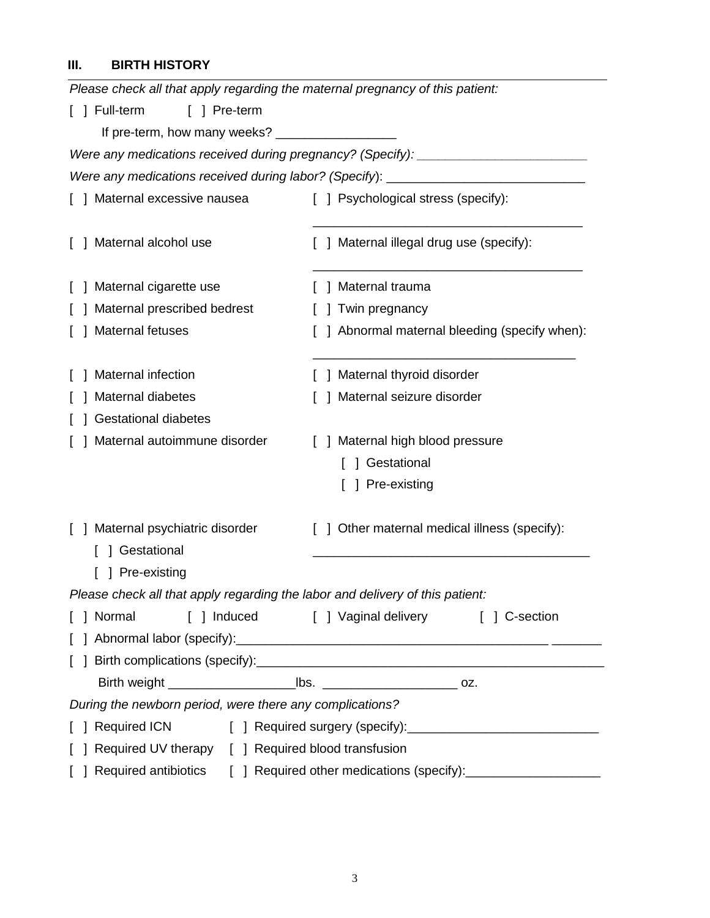# **III. BIRTH HISTORY**

| Please check all that apply regarding the maternal pregnancy of this patient: |                                                                                  |
|-------------------------------------------------------------------------------|----------------------------------------------------------------------------------|
| [ ] Full-term<br>[ ] Pre-term                                                 |                                                                                  |
| If pre-term, how many weeks? ______________________                           |                                                                                  |
|                                                                               | Were any medications received during pregnancy? (Specify): _____________________ |
|                                                                               | Were any medications received during labor? (Specify): _________________________ |
| ] Maternal excessive nausea                                                   | [ ] Psychological stress (specify):                                              |
| Maternal alcohol use                                                          | ] Maternal illegal drug use (specify):                                           |
|                                                                               |                                                                                  |
| Maternal cigarette use                                                        | ] Maternal trauma                                                                |
| Maternal prescribed bedrest                                                   | Twin pregnancy                                                                   |
| Maternal fetuses                                                              | ] Abnormal maternal bleeding (specify when):                                     |
|                                                                               |                                                                                  |
| Maternal infection                                                            | ] Maternal thyroid disorder                                                      |
| Maternal diabetes                                                             | Maternal seizure disorder                                                        |
| <b>Gestational diabetes</b>                                                   |                                                                                  |
| Maternal autoimmune disorder                                                  | [ ] Maternal high blood pressure                                                 |
|                                                                               | ] Gestational                                                                    |
|                                                                               | ] Pre-existing                                                                   |
|                                                                               |                                                                                  |
| ] Maternal psychiatric disorder                                               | ] Other maternal medical illness (specify):                                      |
| ] Gestational                                                                 |                                                                                  |
| Pre-existing                                                                  |                                                                                  |
| Please check all that apply regarding the labor and delivery of this patient: |                                                                                  |
| ] Normal                                                                      | [ ] Induced [ ] Vaginal delivery [ ] C-section                                   |
|                                                                               |                                                                                  |
|                                                                               |                                                                                  |
|                                                                               |                                                                                  |
| During the newborn period, were there any complications?                      |                                                                                  |
| <b>Required ICN</b>                                                           |                                                                                  |
| Required UV therapy [ ] Required blood transfusion                            |                                                                                  |
|                                                                               | Required antibiotics [ ] Required other medications (specify): _________________ |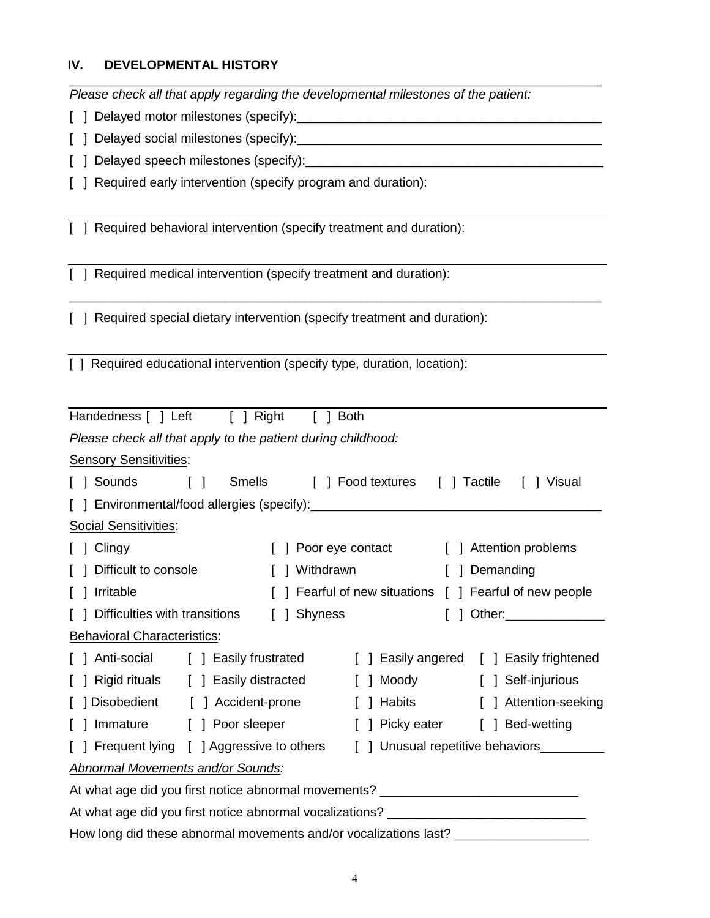#### **IV. DEVELOPMENTAL HISTORY**

\_\_\_\_\_\_\_\_\_\_\_\_\_\_\_\_\_\_\_\_\_\_\_\_\_\_\_\_\_\_\_\_\_\_\_\_\_\_\_\_\_\_\_\_\_\_\_\_\_\_\_\_\_\_\_\_\_\_\_\_\_\_\_\_\_\_\_\_\_\_\_\_\_\_\_ *Please check all that apply regarding the developmental milestones of the patient:*

[ ] Delayed motor milestones (specify):\_\_\_\_\_\_\_\_\_\_\_\_\_\_\_\_\_\_\_\_\_\_\_\_\_\_\_\_\_\_\_\_\_\_\_\_\_\_\_\_\_\_\_

[ ] Delayed social milestones (specify):\_\_\_\_\_\_\_\_\_\_\_\_\_\_\_\_\_\_\_\_\_\_\_\_\_\_\_\_\_\_\_\_\_\_\_\_\_\_\_\_\_\_\_

[ ] Delayed speech milestones (specify):

[ ] Required early intervention (specify program and duration):

[ ] Required behavioral intervention (specify treatment and duration):

[ ] Required medical intervention (specify treatment and duration):

[ ] Required special dietary intervention (specify treatment and duration):

\_\_\_\_\_\_\_\_\_\_\_\_\_\_\_\_\_\_\_\_\_\_\_\_\_\_\_\_\_\_\_\_\_\_\_\_\_\_\_\_\_\_\_\_\_\_\_\_\_\_\_\_\_\_\_\_\_\_\_\_\_\_\_\_\_\_\_\_\_\_\_\_\_\_\_

[ ] Required educational intervention (specify type, duration, location):

| Handedness [ ] Left [ ] Right                                                        | $\begin{bmatrix} 1 \end{bmatrix}$ | <b>Both</b>                               |   |                                                         |
|--------------------------------------------------------------------------------------|-----------------------------------|-------------------------------------------|---|---------------------------------------------------------|
|                                                                                      |                                   |                                           |   |                                                         |
| Please check all that apply to the patient during childhood:                         |                                   |                                           |   |                                                         |
| <b>Sensory Sensitivities:</b>                                                        |                                   |                                           |   |                                                         |
| [] Sounds [] Smells [] Food textures [] Tactile [] Visual                            |                                   |                                           |   |                                                         |
|                                                                                      |                                   |                                           |   |                                                         |
| Social Sensitivities:                                                                |                                   |                                           |   |                                                         |
| [ ] Clingy                                                                           |                                   | ] Poor eye contact [ ] Attention problems |   |                                                         |
| [ ] Difficult to console                                                             |                                   | ] Withdrawn [ ] Demanding                 |   |                                                         |
| [ ] Irritable                                                                        |                                   |                                           |   | [ ] Fearful of new situations [ ] Fearful of new people |
| [ ] Difficulties with transitions                                                    | [ ] Shyness                       |                                           | L | ] Other:________________                                |
| Behavioral Characteristics:                                                          |                                   |                                           |   |                                                         |
| [ ] Anti-social [ ] Easily frustrated                                                |                                   |                                           |   | [ ] Easily angered [ ] Easily frightened                |
| [ ] Rigid rituals [ ] Easily distracted                                              |                                   |                                           |   | [ ] Moody [ ] Self-injurious                            |
| [ ] Disobedient [ ] Accident-prone                                                   |                                   |                                           |   | [ ] Habits [ ] Attention-seeking                        |
| [ ] Immature [ ] Poor sleeper                                                        |                                   |                                           |   | [ ] Picky eater [ ] Bed-wetting                         |
| [ ] Frequent lying [ ] Aggressive to others [ ] Unusual repetitive behaviors________ |                                   |                                           |   |                                                         |
| <b>Abnormal Movements and/or Sounds:</b>                                             |                                   |                                           |   |                                                         |
| At what age did you first notice abnormal movements? ___________________________     |                                   |                                           |   |                                                         |
| At what age did you first notice abnormal vocalizations? ________________________    |                                   |                                           |   |                                                         |
| How long did these abnormal movements and/or vocalizations last?                     |                                   |                                           |   |                                                         |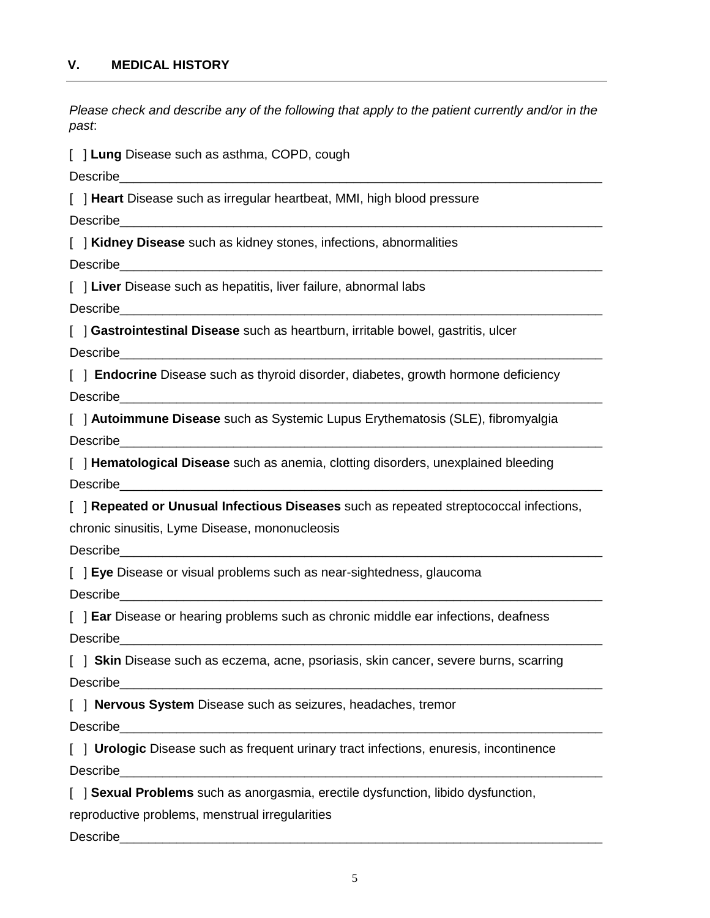*Please check and describe any of the following that apply to the patient currently and/or in the past*:

[ ] **Lung** Disease such as asthma, COPD, cough

Describe

[ ] **Heart** Disease such as irregular heartbeat, MMI, high blood pressure

Describe

[ ] **Kidney Disease** such as kidney stones, infections, abnormalities

Describe

[  $\vert$  **Liver** Disease such as hepatitis, liver failure, abnormal labs

Describe\_\_\_\_\_\_\_\_\_\_\_\_\_\_\_\_\_\_\_\_\_\_\_\_\_\_\_\_\_\_\_\_\_\_\_\_\_\_\_\_\_\_\_\_\_\_\_\_\_\_\_\_\_\_\_\_\_\_\_\_\_\_\_\_\_\_\_\_

[ ] **Gastrointestinal Disease** such as heartburn, irritable bowel, gastritis, ulcer

Describe\_\_\_\_\_\_\_\_\_\_\_\_\_\_\_\_\_\_\_\_\_\_\_\_\_\_\_\_\_\_\_\_\_\_\_\_\_\_\_\_\_\_\_\_\_\_\_\_\_\_\_\_\_\_\_\_\_\_\_\_\_\_\_\_\_\_\_\_

[ ] **Endocrine** Disease such as thyroid disorder, diabetes, growth hormone deficiency Describe

[ ] **Autoimmune Disease** such as Systemic Lupus Erythematosis (SLE), fibromyalgia Describe

[ ] **Hematological Disease** such as anemia, clotting disorders, unexplained bleeding Describe

[ ] **Repeated or Unusual Infectious Diseases** such as repeated streptococcal infections,

chronic sinusitis, Lyme Disease, mononucleosis

Describe

[ ] **Eye** Disease or visual problems such as near-sightedness, glaucoma

Describe

[ ] **Ear** Disease or hearing problems such as chronic middle ear infections, deafness Describe

[ ] **Skin** Disease such as eczema, acne, psoriasis, skin cancer, severe burns, scarring Describe

[ ] **Nervous System** Disease such as seizures, headaches, tremor

Describe

[ ] **Urologic** Disease such as frequent urinary tract infections, enuresis, incontinence Describe\_\_\_\_\_\_\_\_\_\_\_\_\_\_\_\_\_\_\_\_\_\_\_\_\_\_\_\_\_\_\_\_\_\_\_\_\_\_\_\_\_\_\_\_\_\_\_\_\_\_\_\_\_\_\_\_\_\_\_\_\_\_\_\_\_\_\_\_

[ ] **Sexual Problems** such as anorgasmia, erectile dysfunction, libido dysfunction,

reproductive problems, menstrual irregularities

Describe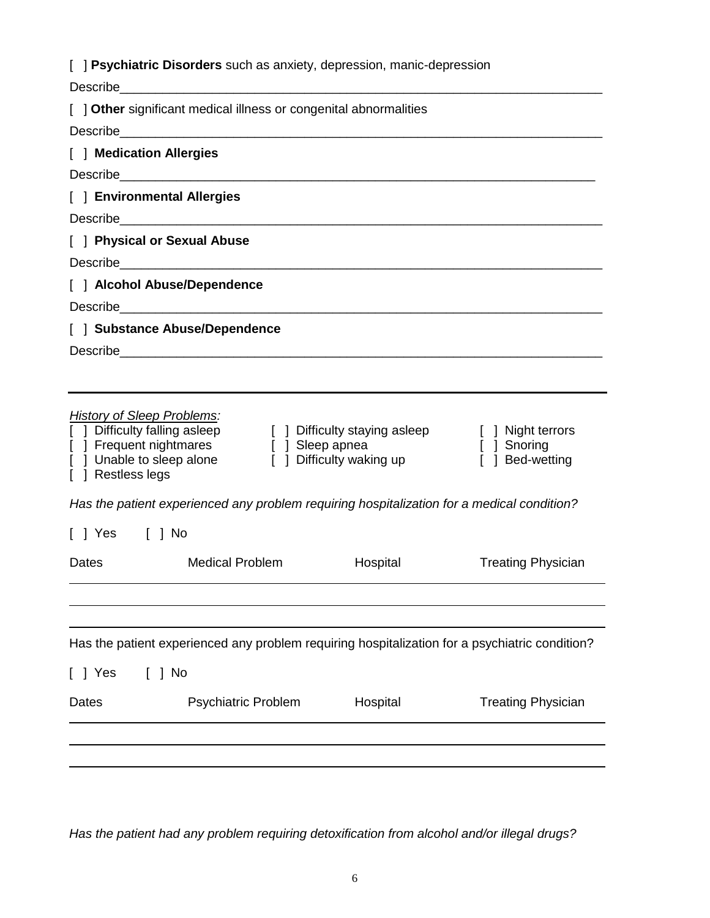|  | [ ] Psychiatric Disorders such as anxiety, depression, manic-depression |  |  |
|--|-------------------------------------------------------------------------|--|--|
|  |                                                                         |  |  |

| Describe                                                                                                             | <u> 1980 - Johann Barn, mars eta bainar eta bainar eta baina eta baina eta baina eta baina eta baina eta baina e</u>                  |                                                           |                                                     |
|----------------------------------------------------------------------------------------------------------------------|---------------------------------------------------------------------------------------------------------------------------------------|-----------------------------------------------------------|-----------------------------------------------------|
|                                                                                                                      | [ ] Other significant medical illness or congenital abnormalities                                                                     |                                                           |                                                     |
|                                                                                                                      |                                                                                                                                       |                                                           |                                                     |
| [ ] Medication Allergies                                                                                             |                                                                                                                                       |                                                           |                                                     |
|                                                                                                                      |                                                                                                                                       |                                                           |                                                     |
| [ ] Environmental Allergies                                                                                          |                                                                                                                                       |                                                           |                                                     |
|                                                                                                                      |                                                                                                                                       |                                                           |                                                     |
| [ ] Physical or Sexual Abuse                                                                                         |                                                                                                                                       |                                                           |                                                     |
|                                                                                                                      |                                                                                                                                       |                                                           |                                                     |
| [ ] Alcohol Abuse/Dependence                                                                                         |                                                                                                                                       |                                                           |                                                     |
|                                                                                                                      |                                                                                                                                       |                                                           |                                                     |
|                                                                                                                      | [ ] Substance Abuse/Dependence                                                                                                        |                                                           |                                                     |
|                                                                                                                      |                                                                                                                                       |                                                           |                                                     |
|                                                                                                                      |                                                                                                                                       |                                                           |                                                     |
| <b>History of Sleep Problems:</b><br>[ ] Difficulty falling asleep<br>[ ] Unable to sleep alone<br>[ ] Restless legs | [ ] Frequent nightmares [ ] Sleep apnea<br>Has the patient experienced any problem requiring hospitalization for a medical condition? | [ ] Difficulty staying asleep<br>[ ] Difficulty waking up | [ ] Night terrors<br>[ ] Snoring<br>[ ] Bed-wetting |
| [ ] Yes [ ] No                                                                                                       |                                                                                                                                       |                                                           |                                                     |
|                                                                                                                      |                                                                                                                                       |                                                           |                                                     |
| Dates                                                                                                                | <b>Medical Problem</b>                                                                                                                | Hospital                                                  | <b>Treating Physician</b>                           |
|                                                                                                                      |                                                                                                                                       |                                                           |                                                     |
|                                                                                                                      |                                                                                                                                       |                                                           |                                                     |
|                                                                                                                      | Has the patient experienced any problem requiring hospitalization for a psychiatric condition?                                        |                                                           |                                                     |
|                                                                                                                      |                                                                                                                                       |                                                           |                                                     |
| $[$ $]$ No<br>[ ] Yes                                                                                                |                                                                                                                                       |                                                           |                                                     |
| Dates                                                                                                                | <b>Psychiatric Problem</b>                                                                                                            | Hospital                                                  | <b>Treating Physician</b>                           |
|                                                                                                                      |                                                                                                                                       |                                                           |                                                     |
|                                                                                                                      |                                                                                                                                       |                                                           |                                                     |
|                                                                                                                      |                                                                                                                                       |                                                           |                                                     |

*Has the patient had any problem requiring detoxification from alcohol and/or illegal drugs?*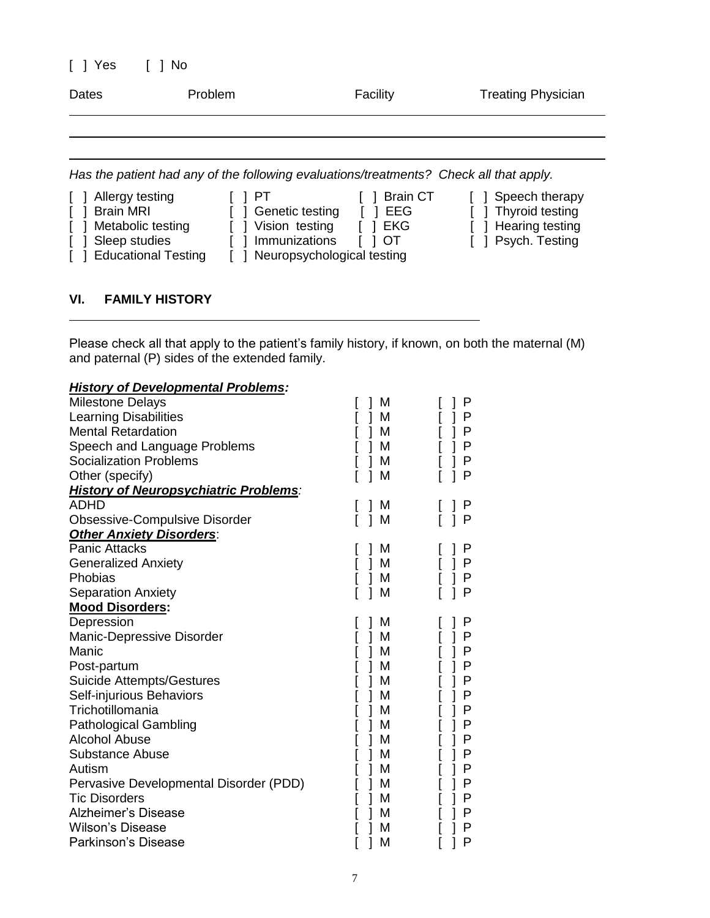| $[$ $]$ Yes                          | 1 No    |                                                                                        |                             |
|--------------------------------------|---------|----------------------------------------------------------------------------------------|-----------------------------|
| Dates                                | Problem | Facility                                                                               | <b>Treating Physician</b>   |
|                                      |         |                                                                                        |                             |
|                                      |         | Has the patient had any of the following evaluations/treatments? Check all that apply. |                             |
| Allergy testing<br>$\lceil$ $\rceil$ | H       |                                                                                        | Brain CT [ ] Speech therapy |

| Allergy testing         | I IPT                          | Brain CT  | Speech therapy      |
|-------------------------|--------------------------------|-----------|---------------------|
| [ ] Brain MRI           | [ ] Genetic testing            | I EEG     | [ ] Thyroid testing |
| [ ] Metabolic testing   | [ ] Vision testing             | I I EKG   | [ ] Hearing testing |
| [ ] Sleep studies       | [ ] Immunizations              | $\Box$ OT | [ ] Psych. Testing  |
| [ ] Educational Testing | [ ] Neuropsychological testing |           |                     |
|                         |                                |           |                     |

### **VI. FAMILY HISTORY**

Please check all that apply to the patient's family history, if known, on both the maternal (M) and paternal (P) sides of the extended family.

### *History of Developmental Problems:*

| <b>Milestone Delays</b>                      | M      | P |
|----------------------------------------------|--------|---|
| Learning Disabilities                        | M      | Ρ |
| <b>Mental Retardation</b>                    | M      | Ρ |
| Speech and Language Problems                 | М      | Ρ |
| <b>Socialization Problems</b>                | M      | P |
| Other (specify)                              | M      | P |
| <b>History of Neuropsychiatric Problems:</b> |        |   |
| <b>ADHD</b>                                  | M      | Р |
| <b>Obsessive-Compulsive Disorder</b>         | M<br>1 | P |
| <b>Other Anxiety Disorders:</b>              |        |   |
| <b>Panic Attacks</b>                         | M      | P |
| <b>Generalized Anxiety</b>                   | M      | P |
| Phobias                                      | M      | P |
| Separation Anxiety                           | M      | P |
| <b>Mood Disorders:</b>                       |        |   |
| Depression                                   | M      | P |
| Manic-Depressive Disorder                    | M      | P |
| Manic                                        | M      | P |
| Post-partum                                  | M      | Ρ |
| <b>Suicide Attempts/Gestures</b>             | M      | P |
| Self-injurious Behaviors                     | M      | Ρ |
| Trichotillomania                             | M      | P |
| <b>Pathological Gambling</b>                 | M      | Ρ |
| <b>Alcohol Abuse</b>                         | M      | Ρ |
| <b>Substance Abuse</b>                       | M      | Ρ |
| Autism                                       | M      | Ρ |
| Pervasive Developmental Disorder (PDD)       | M      | P |
| <b>Tic Disorders</b>                         | М      | P |
| <b>Alzheimer's Disease</b>                   | M      | P |
| Wilson's Disease                             | M      | P |
| <b>Parkinson's Disease</b>                   | М      | P |
|                                              |        |   |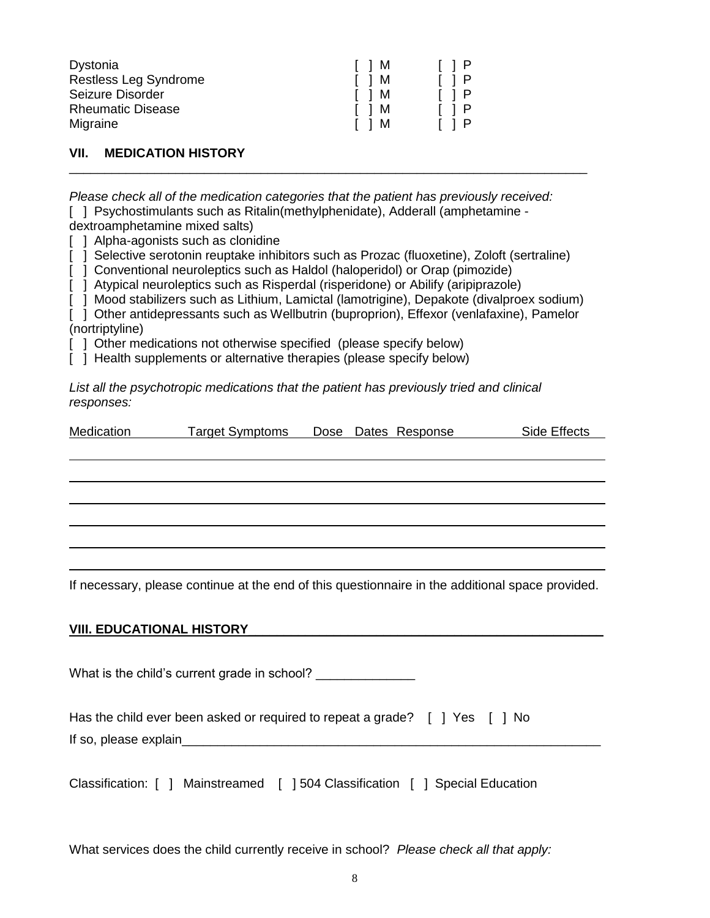| Dystonia                     | $\Box$ M | $\begin{bmatrix} 1 & 1 & 1 \end{bmatrix}$ |
|------------------------------|----------|-------------------------------------------|
| <b>Restless Leg Syndrome</b> | IIM      | $\begin{bmatrix} 1 & 1 & 1 \end{bmatrix}$ |
| Seizure Disorder             | IIM      | $\lceil$ $\rceil$ $\rceil$ $\rceil$       |
| <b>Rheumatic Disease</b>     | IIM      | $\begin{bmatrix} 1 & 1 & 1 \end{bmatrix}$ |
| Migraine                     | IIM      | $\begin{bmatrix} 1 & 1 & 1 \end{bmatrix}$ |

**VII. MEDICATION HISTORY**

*Please check all of the medication categories that the patient has previously received:* [ ] Psychostimulants such as Ritalin(methylphenidate), Adderall (amphetamine -

dextroamphetamine mixed salts)

[ ] Alpha-agonists such as clonidine

[ ] Selective serotonin reuptake inhibitors such as Prozac (fluoxetine), Zoloft (sertraline)

\_\_\_\_\_\_\_\_\_\_\_\_\_\_\_\_\_\_\_\_\_\_\_\_\_\_\_\_\_\_\_\_\_\_\_\_\_\_\_\_\_\_\_\_\_\_\_\_\_\_\_\_\_\_\_\_\_\_\_\_\_\_\_\_\_\_\_\_\_\_\_\_\_

[ ] Conventional neuroleptics such as Haldol (haloperidol) or Orap (pimozide)

[ ] Atypical neuroleptics such as Risperdal (risperidone) or Abilify (aripiprazole)

[ ] Mood stabilizers such as Lithium, Lamictal (lamotrigine), Depakote (divalproex sodium)

[  $\overline{1}$  Other antidepressants such as Wellbutrin (buproprion), Effexor (venlafaxine), Pamelor (nortriptyline)

[ ] Other medications not otherwise specified (please specify below)

[ ] Health supplements or alternative therapies (please specify below)

*List all the psychotropic medications that the patient has previously tried and clinical responses:*

| Medication | Target Symptoms  Dose Dates Response | Side Effects |
|------------|--------------------------------------|--------------|
|            |                                      |              |
|            |                                      |              |
|            |                                      |              |
|            |                                      |              |
|            |                                      |              |
|            |                                      |              |
|            |                                      |              |

If necessary, please continue at the end of this questionnaire in the additional space provided.

#### **VIII. EDUCATIONAL HISTORY**\_\_\_\_\_\_\_\_\_\_\_\_\_\_\_\_\_\_\_\_\_\_\_\_\_\_\_\_\_\_\_\_\_\_\_\_\_\_\_\_\_\_\_\_\_\_\_\_\_\_

What is the child's current grade in school?

Has the child ever been asked or required to repeat a grade? [ ] Yes [ ] No If so, please explain

Classification: [ ] Mainstreamed [ ] 504 Classification [ ] Special Education

What services does the child currently receive in school? *Please check all that apply:*